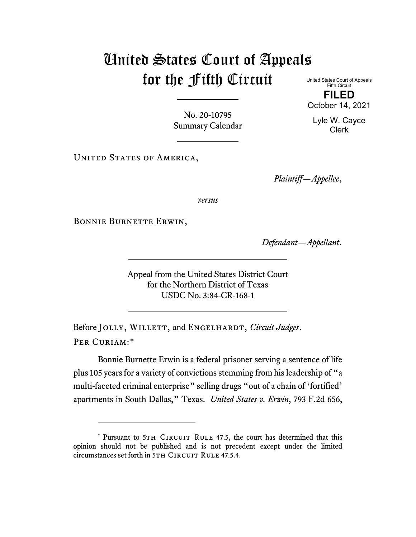## United States Court of Appeals for the Fifth Circuit United States Court of Appeals

Fifth Circuit **FILED** October 14, 2021

Lyle W. Cayce Clerk

No. 20-10795 Summary Calendar

UNITED STATES OF AMERICA,

*Plaintiff—Appellee*,

*versus*

Bonnie Burnette Erwin,

*Defendant—Appellant*.

Appeal from the United States District Court for the Northern District of Texas USDC No. 3:84-CR-168-1

Before JOLLY, WILLETT, and ENGELHARDT, *Circuit Judges*. Per Curiam:[\\*](#page-0-0)

Bonnie Burnette Erwin is a federal prisoner serving a sentence of life plus 105 years for a variety of convictions stemming from his leadership of "a multi-faceted criminal enterprise" selling drugs "out of a chain of 'fortified' apartments in South Dallas," Texas. *United States v. Erwin*, 793 F.2d 656,

<span id="page-0-0"></span><sup>\*</sup> Pursuant to 5TH CIRCUIT RULE 47.5, the court has determined that this opinion should not be published and is not precedent except under the limited circumstances set forth in 5TH CIRCUIT RULE 47.5.4.